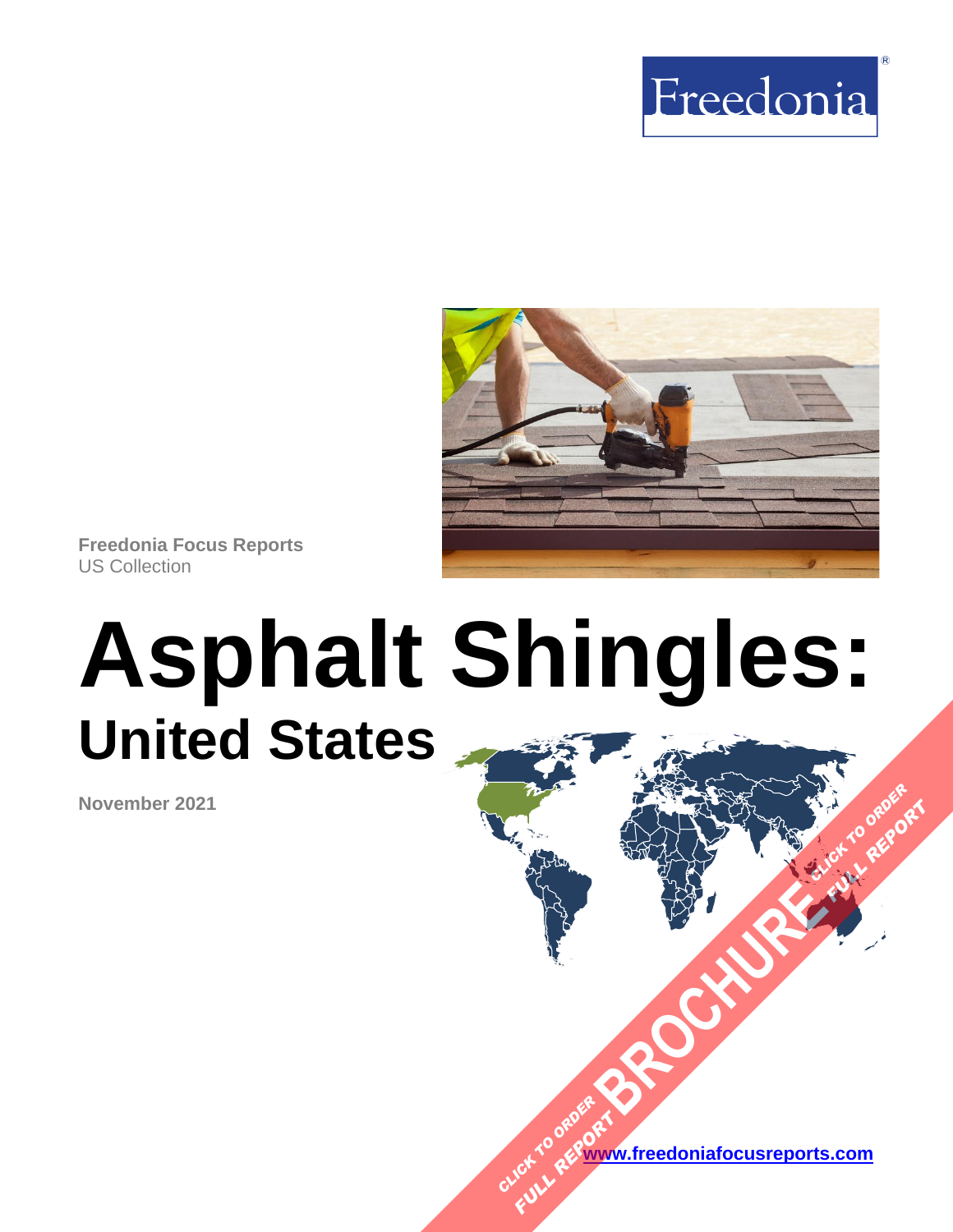



**Freedonia Focus Reports** US Collection

# **Asphalt Shingles: United States**

**November 2021**

**[www.freedoniafocusreports.com](https://www.freedoniafocusreports.com/redirect.asp?progid=89534&url=/)** CLICK TO ORDER **FULL REPORT** 

**[BROCHURE](https://www.freedoniafocusreports.com/Asphalt-Shingles-United-States-FF60097/?progid=89541) CLICK TO ORDER** 

**FULL REPORT**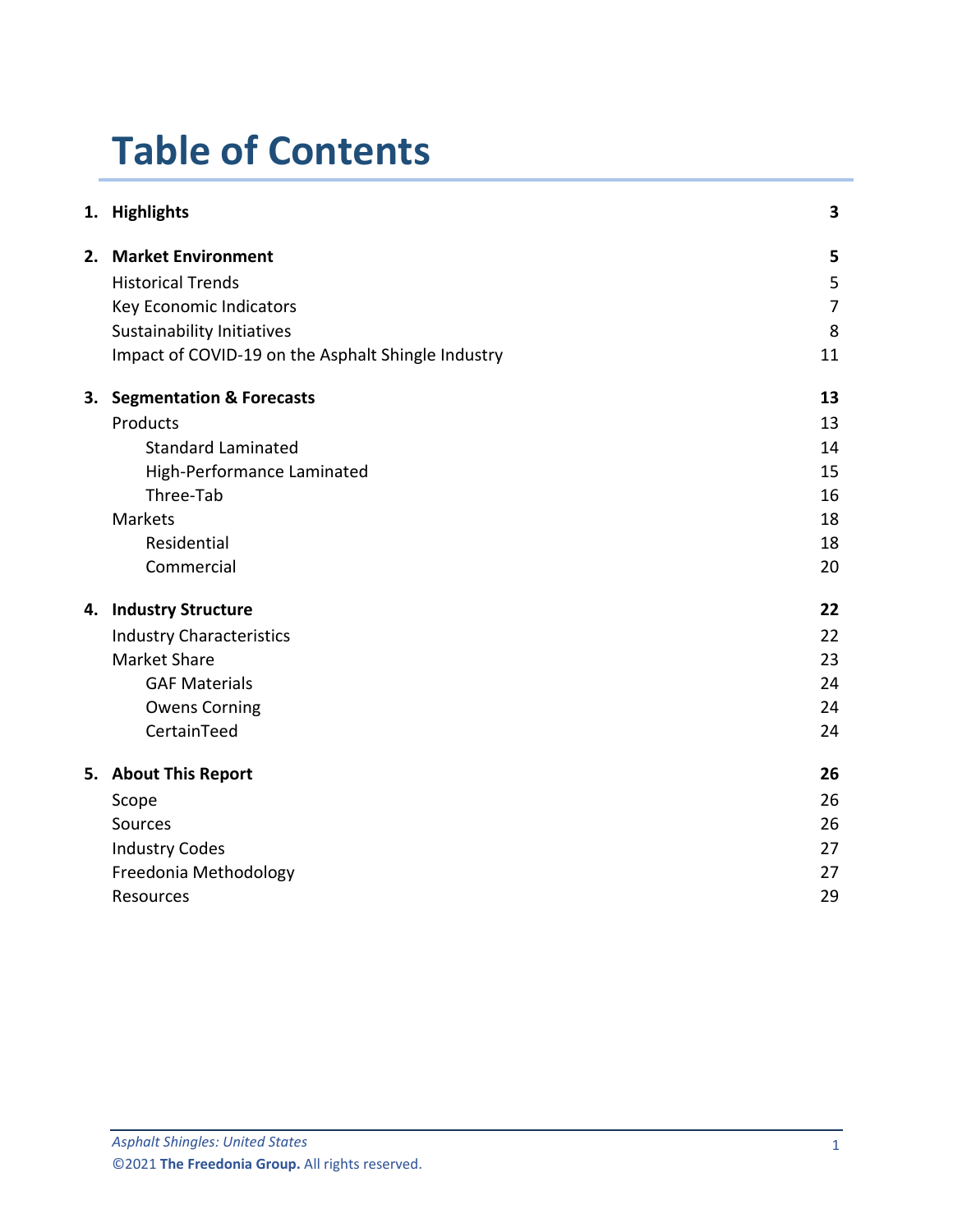# **Table of Contents**

|    | 1. Highlights                                      | 3              |
|----|----------------------------------------------------|----------------|
|    | 2. Market Environment                              | 5              |
|    | <b>Historical Trends</b>                           | 5              |
|    | Key Economic Indicators                            | $\overline{7}$ |
|    | Sustainability Initiatives                         | 8              |
|    | Impact of COVID-19 on the Asphalt Shingle Industry | 11             |
| 3. | <b>Segmentation &amp; Forecasts</b>                | 13             |
|    | Products                                           | 13             |
|    | <b>Standard Laminated</b>                          | 14             |
|    | High-Performance Laminated                         | 15             |
|    | Three-Tab                                          | 16             |
|    | <b>Markets</b>                                     | 18             |
|    | Residential                                        | 18             |
|    | Commercial                                         | 20             |
|    | 4. Industry Structure                              | 22             |
|    | <b>Industry Characteristics</b>                    | 22             |
|    | <b>Market Share</b>                                | 23             |
|    | <b>GAF Materials</b>                               | 24             |
|    | <b>Owens Corning</b>                               | 24             |
|    | CertainTeed                                        | 24             |
|    | 5. About This Report                               | 26             |
|    | Scope                                              | 26             |
|    | Sources                                            | 26             |
|    | <b>Industry Codes</b>                              | 27             |
|    | Freedonia Methodology                              | 27             |
|    | Resources                                          | 29             |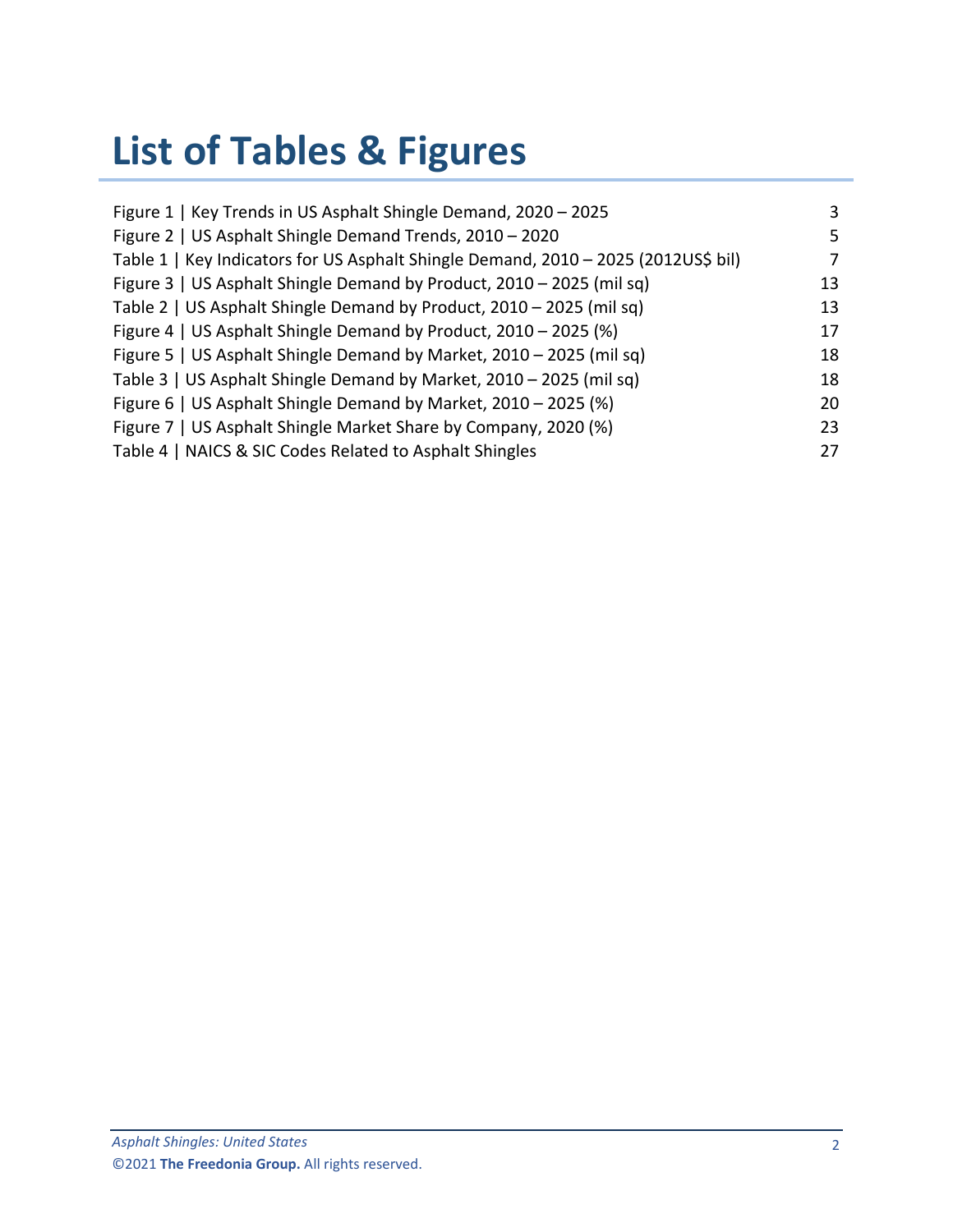# **List of Tables & Figures**

| Figure 1   Key Trends in US Asphalt Shingle Demand, 2020 - 2025                    | 3  |
|------------------------------------------------------------------------------------|----|
| Figure 2   US Asphalt Shingle Demand Trends, 2010 - 2020                           | 5. |
| Table 1   Key Indicators for US Asphalt Shingle Demand, 2010 - 2025 (2012US\$ bil) | 7  |
| Figure 3   US Asphalt Shingle Demand by Product, 2010 - 2025 (mil sq)              | 13 |
| Table 2   US Asphalt Shingle Demand by Product, 2010 - 2025 (mil sq)               | 13 |
| Figure 4   US Asphalt Shingle Demand by Product, 2010 - 2025 (%)                   | 17 |
| Figure 5   US Asphalt Shingle Demand by Market, 2010 - 2025 (mil sq)               | 18 |
| Table 3   US Asphalt Shingle Demand by Market, 2010 - 2025 (mil sq)                | 18 |
| Figure 6   US Asphalt Shingle Demand by Market, 2010 - 2025 (%)                    | 20 |
| Figure 7   US Asphalt Shingle Market Share by Company, 2020 (%)                    | 23 |
| Table 4   NAICS & SIC Codes Related to Asphalt Shingles                            | 27 |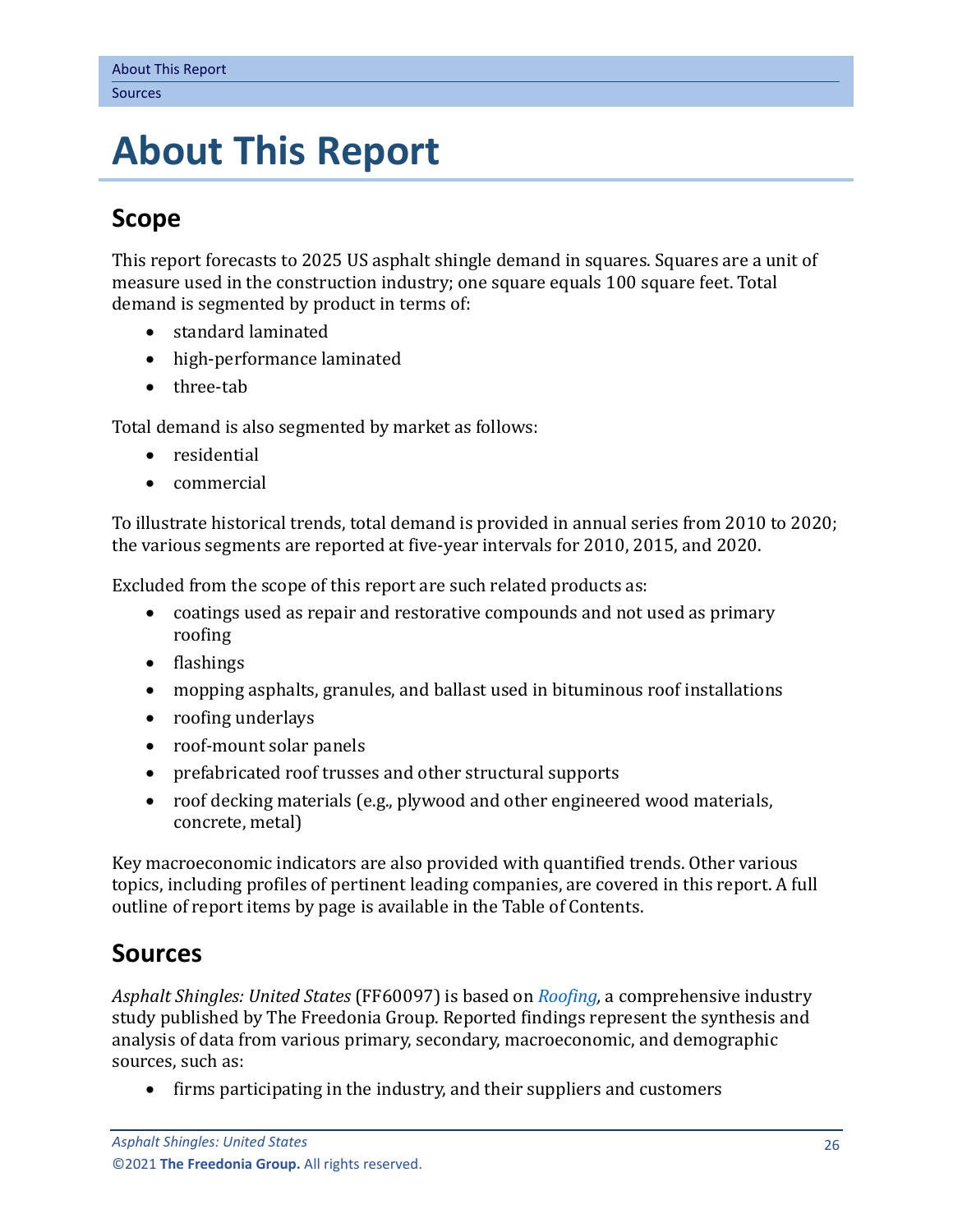## <span id="page-3-0"></span>**5. About This Report**

## <span id="page-3-1"></span>**Scope**

This report forecasts to 2025 US asphalt shingle demand in squares. Squares are a unit of measure used in the construction industry; one square equals 100 square feet. Total demand is segmented by product in terms of:

- standard laminated
- high-performance laminated
- three-tab

Total demand is also segmented by market as follows:

- residential
- commercial

To illustrate historical trends, total demand is provided in annual series from 2010 to 2020; the various segments are reported at five-year intervals for 2010, 2015, and 2020.

Excluded from the scope of this report are such related products as:

- coatings used as repair and restorative compounds and not used as primary roofing
- flashings
- mopping asphalts, granules, and ballast used in bituminous roof installations
- roofing underlays
- roof-mount solar panels
- prefabricated roof trusses and other structural supports
- roof decking materials (e.g., plywood and other engineered wood materials, concrete, metal)

Key macroeconomic indicators are also provided with quantified trends. Other various topics, including profiles of pertinent leading companies, are covered in this report. A full outline of report items by page is available in the Table of Contents.

## <span id="page-3-2"></span>**Sources**

*Asphalt Shingles: United States* (FF60097) is based on *[Roofing,](http://www.freedoniagroup.com/DocumentDetails.aspx?ReferrerId=FL-FOCUS&studyid=4216)* a comprehensive industry study published by The Freedonia Group. Reported findings represent the synthesis and analysis of data from various primary, secondary, macroeconomic, and demographic sources, such as:

• firms participating in the industry, and their suppliers and customers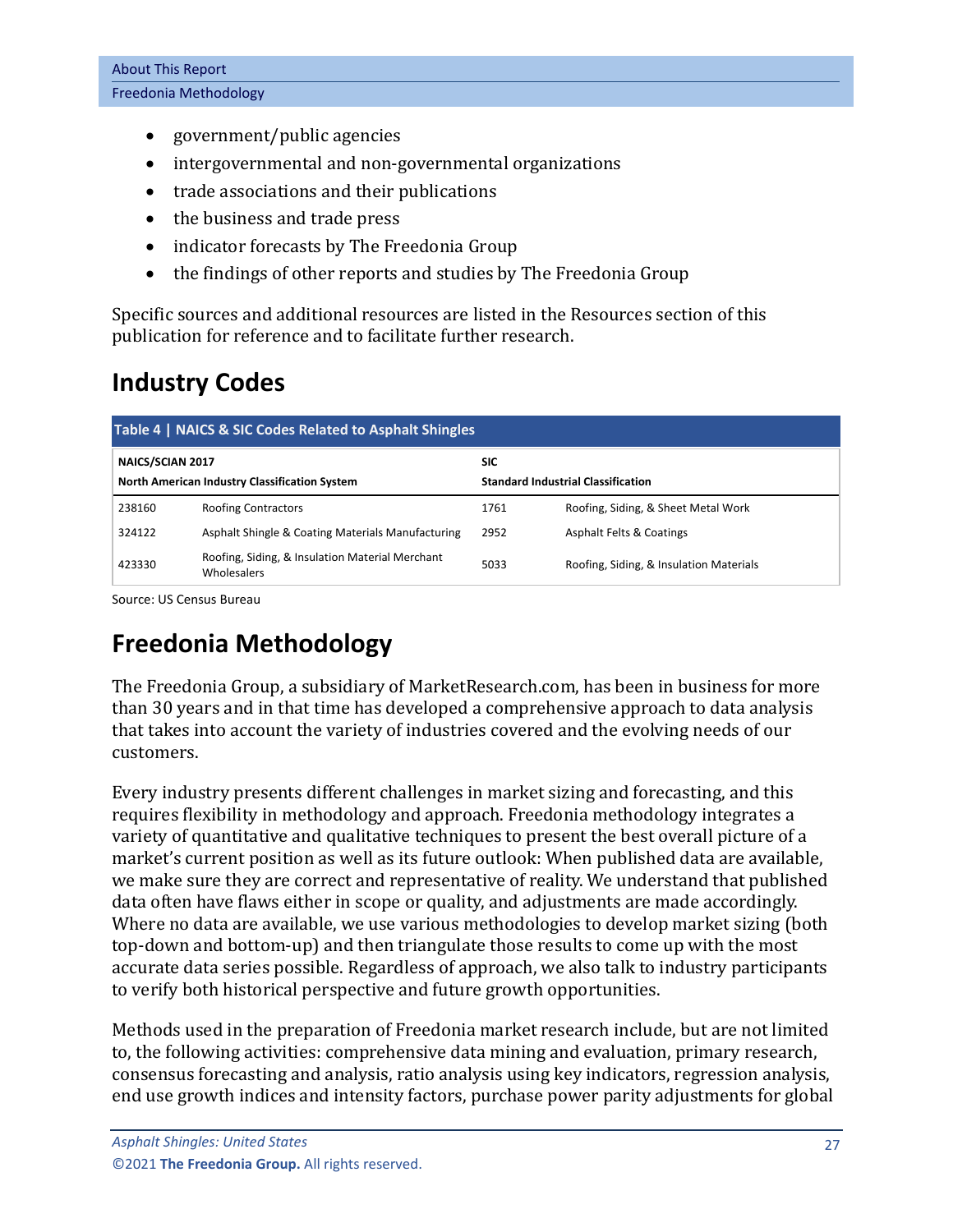- government/public agencies
- intergovernmental and non-governmental organizations
- trade associations and their publications
- the business and trade press
- indicator forecasts by The Freedonia Group
- the findings of other reports and studies by The Freedonia Group

Specific sources and additional resources are listed in the Resources section of this publication for reference and to facilitate further research.

## <span id="page-4-0"></span>**Industry Codes**

<span id="page-4-2"></span>

| Table 4   NAICS & SIC Codes Related to Asphalt Shingles |                                                                |                                           |                                         |  |  |  |
|---------------------------------------------------------|----------------------------------------------------------------|-------------------------------------------|-----------------------------------------|--|--|--|
| NAICS/SCIAN 2017                                        |                                                                | <b>SIC</b>                                |                                         |  |  |  |
| North American Industry Classification System           |                                                                | <b>Standard Industrial Classification</b> |                                         |  |  |  |
| 238160                                                  | <b>Roofing Contractors</b>                                     | 1761                                      | Roofing, Siding, & Sheet Metal Work     |  |  |  |
| 324122                                                  | Asphalt Shingle & Coating Materials Manufacturing              | 2952                                      | <b>Asphalt Felts &amp; Coatings</b>     |  |  |  |
| 423330                                                  | Roofing, Siding, & Insulation Material Merchant<br>Wholesalers | 5033                                      | Roofing, Siding, & Insulation Materials |  |  |  |

Source: US Census Bureau

## <span id="page-4-1"></span>**Freedonia Methodology**

The Freedonia Group, a subsidiary of MarketResearch.com, has been in business for more than 30 years and in that time has developed a comprehensive approach to data analysis that takes into account the variety of industries covered and the evolving needs of our customers.

Every industry presents different challenges in market sizing and forecasting, and this requires flexibility in methodology and approach. Freedonia methodology integrates a variety of quantitative and qualitative techniques to present the best overall picture of a market's current position as well as its future outlook: When published data are available, we make sure they are correct and representative of reality. We understand that published data often have flaws either in scope or quality, and adjustments are made accordingly. Where no data are available, we use various methodologies to develop market sizing (both top-down and bottom-up) and then triangulate those results to come up with the most accurate data series possible. Regardless of approach, we also talk to industry participants to verify both historical perspective and future growth opportunities.

Methods used in the preparation of Freedonia market research include, but are not limited to, the following activities: comprehensive data mining and evaluation, primary research, consensus forecasting and analysis, ratio analysis using key indicators, regression analysis, end use growth indices and intensity factors, purchase power parity adjustments for global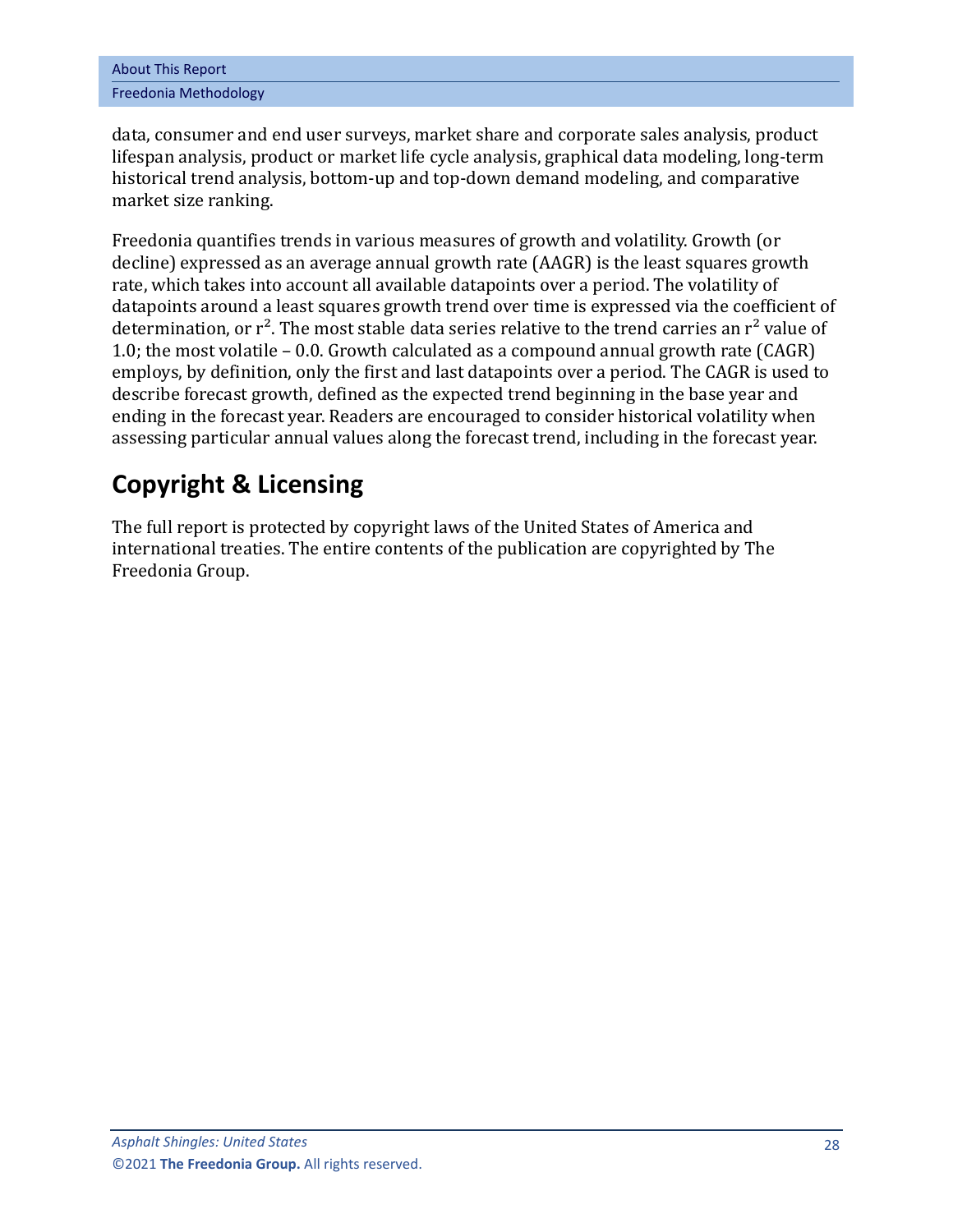data, consumer and end user surveys, market share and corporate sales analysis, product lifespan analysis, product or market life cycle analysis, graphical data modeling, long-term historical trend analysis, bottom-up and top-down demand modeling, and comparative market size ranking.

Freedonia quantifies trends in various measures of growth and volatility. Growth (or decline) expressed as an average annual growth rate (AAGR) is the least squares growth rate, which takes into account all available datapoints over a period. The volatility of datapoints around a least squares growth trend over time is expressed via the coefficient of determination, or  $r^2$ . The most stable data series relative to the trend carries an  $r^2$  value of 1.0; the most volatile – 0.0. Growth calculated as a compound annual growth rate (CAGR) employs, by definition, only the first and last datapoints over a period. The CAGR is used to describe forecast growth, defined as the expected trend beginning in the base year and ending in the forecast year. Readers are encouraged to consider historical volatility when assessing particular annual values along the forecast trend, including in the forecast year.

## **Copyright & Licensing**

The full report is protected by copyright laws of the United States of America and international treaties. The entire contents of the publication are copyrighted by The Freedonia Group.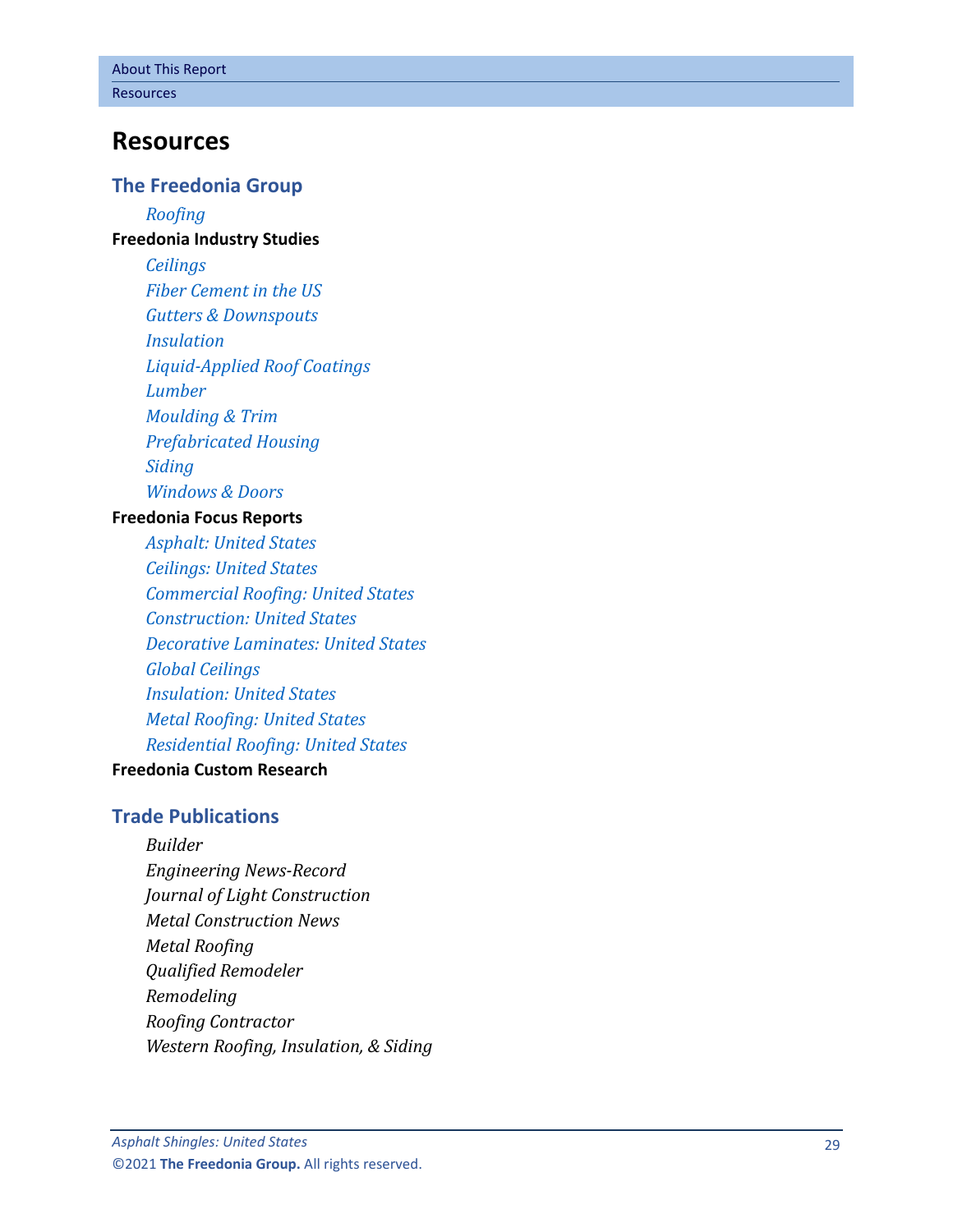### <span id="page-6-0"></span>**Resources**

#### **The Freedonia Group**

*[Roofing](http://www.freedoniagroup.com/DocumentDetails.aspx?ReferrerId=FL-FOCUS&studyid=4216)* **[Freedonia Industry Studies](http://www.freedoniagroup.com/Home.aspx?ReferrerId=FL-Focus)**

> *[Ceilings](http://www.freedoniagroup.com/DocumentDetails.aspx?ReferrerId=FL-FOCUS&studyid=3719) [Fiber Cement in the US](http://www.freedoniagroup.com/DocumentDetails.aspx?ReferrerId=FL-FOCUS&studyid=3638) [Gutters & Downspouts](http://www.freedoniagroup.com/DocumentDetails.aspx?ReferrerId=FL-FOCUS&studyid=4047) [Insulation](http://www.freedoniagroup.com/DocumentDetails.aspx?ReferrerId=FL-FOCUS&studyid=3754) Liquid [-Applied Roof Coatings](http://www.freedoniagroup.com/DocumentDetails.aspx?ReferrerId=FL-FOCUS&studyid=3843) [Lumber](http://www.freedoniagroup.com/DocumentDetails.aspx?ReferrerId=FL-FOCUS&studyid=4143) [Moulding & Trim](http://www.freedoniagroup.com/DocumentDetails.aspx?ReferrerId=FL-FOCUS&studyid=3815) [Prefabricated Housing](http://www.freedoniagroup.com/DocumentDetails.aspx?ReferrerId=FL-FOCUS&studyid=3814) [Siding](http://www.freedoniagroup.com/DocumentDetails.aspx?ReferrerId=FL-FOCUS&studyid=4152) [Windows & Doors](http://www.freedoniagroup.com/DocumentDetails.aspx?ReferrerId=FL-FOCUS&studyid=4153)*

#### **[Freedonia Focus Reports](https://www.freedoniafocusreports.com/redirect.asp?progid=89534&url=/)**

*[Asphalt: United States](https://www.freedoniafocusreports.com/Asphalt-United-States-FF60049/?progid=89534) [Ceilings: United States](https://www.freedoniafocusreports.com/Ceilings-United-States-FF60073/?progid=89534) [Commercial Roofing: United States](https://www.freedoniafocusreports.com/Commercial-Roofing-United-States-FF60091/?progid=89534) [Construction: United States](https://www.freedoniafocusreports.com/Construction-United-States-FF60054/?progid=89534) [Decorative Laminates: United States](https://www.freedoniafocusreports.com/Decorative-Laminates-United-States-FF60027/?progid=89534) [Global Ceilings](https://www.freedoniafocusreports.com/Global-Ceilings-FW60073/?progid=89534) [Insulation: United States](https://www.freedoniafocusreports.com/Insulation-United-States-FF60026/?progid=89534) [Metal Roofing: United States](https://www.freedoniafocusreports.com/Metal-Roofing-United-States-FF60105/?progid=89534) [Residential Roofing: United States](https://www.freedoniafocusreports.com/Residential-Roofing-United-States-FF60089/?progid=89534)*

#### **[Freedonia Custom Research](http://www.freedoniagroup.com/CustomResearch.aspx?ReferrerId=FL-Focus)**

#### **Trade Publications**

*Builder Engineering News -Record Journal of Light Construction Metal Construction News Metal Roofing Qualified Remodeler Remodeling Roofing Contractor Western Roofing, Insulation, & Siding*